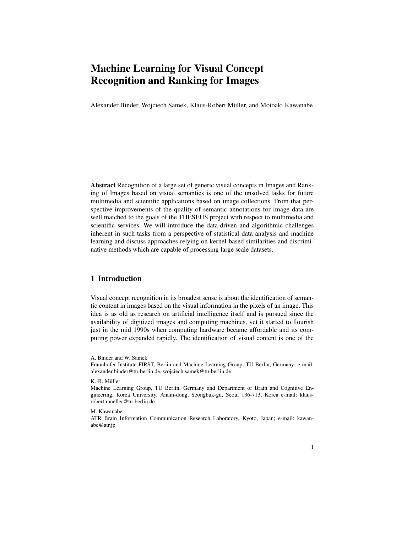# Machine Learning for Visual Concept Recognition and Ranking for Images

Alexander Binder, Wojciech Samek, Klaus-Robert Muller, and Motoaki Kawanabe ¨

Abstract Recognition of a large set of generic visual concepts in Images and Ranking of Images based on visual semantics is one of the unsolved tasks for future multimedia and scientific applications based on image collections. From that perspective improvements of the quality of semantic annotations for image data are well matched to the goals of the THESEUS project with respect to multimedia and scientific services. We will introduce the data-driven and algorithmic challenges inherent in such tasks from a perspective of statistical data analysis and machine learning and discuss approaches relying on kernel-based similarities and discriminative methods which are capable of processing large scale datasets.

# 1 Introduction

Visual concept recognition in its broadest sense is about the identification of semantic content in images based on the visual information in the pixels of an image. This idea is as old as research on artificial intelligence itself and is pursued since the availability of digitized images and computing machines, yet it started to flourish just in the mid 1990s when computing hardware became affordable and its computing power expanded rapidly. The identification of visual content is one of the

A. Binder and W. Samek

Fraunhofer Institute FIRST, Berlin and Machine Learning Group, TU Berlin, Germany; e-mail: alexander.binder@tu-berlin.de, wojciech.samek@tu-berlin.de

K.-R. Müller

Machine Learning Group, TU Berlin, Germany and Department of Brain and Cognitive Engineering, Korea University, Anam-dong, Seongbuk-gu, Seoul 136-713, Korea e-mail: klausrobert.mueller@tu-berlin.de

M. Kawanabe

ATR Brain Information Communication Research Laboratory, Kyoto, Japan; e-mail: kawanabe@atr.jp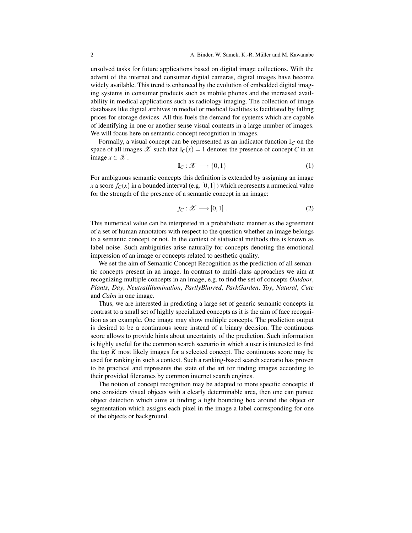unsolved tasks for future applications based on digital image collections. With the advent of the internet and consumer digital cameras, digital images have become widely available. This trend is enhanced by the evolution of embedded digital imaging systems in consumer products such as mobile phones and the increased availability in medical applications such as radiology imaging. The collection of image databases like digital archives in medial or medical facilities is facilitated by falling prices for storage devices. All this fuels the demand for systems which are capable of identifying in one or another sense visual contents in a large number of images. We will focus here on semantic concept recognition in images.

Formally, a visual concept can be represented as an indicator function  $\mathbb{I}_C$  on the space of all images  $\mathscr X$  such that  $\mathbb{I}_C(x) = 1$  denotes the presence of concept C in an image  $x \in \mathscr{X}$ .

$$
\mathbb{I}_C: \mathcal{X} \longrightarrow \{0, 1\} \tag{1}
$$

For ambiguous semantic concepts this definition is extended by assigning an image *x* a score  $f_C(x)$  in a bounded interval (e.g. [0,1]) which represents a numerical value for the strength of the presence of a semantic concept in an image:

$$
f_C: \mathcal{X} \longrightarrow [0,1]. \tag{2}
$$

This numerical value can be interpreted in a probabilistic manner as the agreement of a set of human annotators with respect to the question whether an image belongs to a semantic concept or not. In the context of statistical methods this is known as label noise. Such ambiguities arise naturally for concepts denoting the emotional impression of an image or concepts related to aesthetic quality.

We set the aim of Semantic Concept Recognition as the prediction of all semantic concepts present in an image. In contrast to multi-class approaches we aim at recognizing multiple concepts in an image, e.g. to find the set of concepts *Outdoor*, *Plants*, *Day*, *NeutralIllumination*, *PartlyBlurred*, *ParkGarden*, *Toy*, *Natural*, *Cute* and *Calm* in one image.

Thus, we are interested in predicting a large set of generic semantic concepts in contrast to a small set of highly specialized concepts as it is the aim of face recognition as an example. One image may show multiple concepts. The prediction output is desired to be a continuous score instead of a binary decision. The continuous score allows to provide hints about uncertainty of the prediction. Such information is highly useful for the common search scenario in which a user is interested to find the top *K* most likely images for a selected concept. The continuous score may be used for ranking in such a context. Such a ranking-based search scenario has proven to be practical and represents the state of the art for finding images according to their provided filenames by common internet search engines.

The notion of concept recognition may be adapted to more specific concepts: if one considers visual objects with a clearly determinable area, then one can pursue object detection which aims at finding a tight bounding box around the object or segmentation which assigns each pixel in the image a label corresponding for one of the objects or background.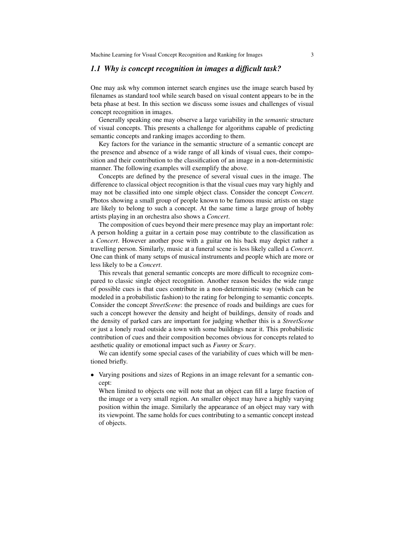## *1.1 Why is concept recognition in images a difficult task?*

One may ask why common internet search engines use the image search based by filenames as standard tool while search based on visual content appears to be in the beta phase at best. In this section we discuss some issues and challenges of visual concept recognition in images.

Generally speaking one may observe a large variability in the *semantic* structure of visual concepts. This presents a challenge for algorithms capable of predicting semantic concepts and ranking images according to them.

Key factors for the variance in the semantic structure of a semantic concept are the presence and absence of a wide range of all kinds of visual cues, their composition and their contribution to the classification of an image in a non-deterministic manner. The following examples will exemplify the above.

Concepts are defined by the presence of several visual cues in the image. The difference to classical object recognition is that the visual cues may vary highly and may not be classified into one simple object class. Consider the concept *Concert*. Photos showing a small group of people known to be famous music artists on stage are likely to belong to such a concept. At the same time a large group of hobby artists playing in an orchestra also shows a *Concert*.

The composition of cues beyond their mere presence may play an important role: A person holding a guitar in a certain pose may contribute to the classification as a *Concert*. However another pose with a guitar on his back may depict rather a travelling person. Similarly, music at a funeral scene is less likely called a *Concert*. One can think of many setups of musical instruments and people which are more or less likely to be a *Concert*.

This reveals that general semantic concepts are more difficult to recognize compared to classic single object recognition. Another reason besides the wide range of possible cues is that cues contribute in a non-deterministic way (which can be modeled in a probabilistic fashion) to the rating for belonging to semantic concepts. Consider the concept *StreetScene*: the presence of roads and buildings are cues for such a concept however the density and height of buildings, density of roads and the density of parked cars are important for judging whether this is a *StreetScene* or just a lonely road outside a town with some buildings near it. This probabilistic contribution of cues and their composition becomes obvious for concepts related to aesthetic quality or emotional impact such as *Funny* or *Scary*.

We can identify some special cases of the variability of cues which will be mentioned briefly.

• Varying positions and sizes of Regions in an image relevant for a semantic concept:

When limited to objects one will note that an object can fill a large fraction of the image or a very small region. An smaller object may have a highly varying position within the image. Similarly the appearance of an object may vary with its viewpoint. The same holds for cues contributing to a semantic concept instead of objects.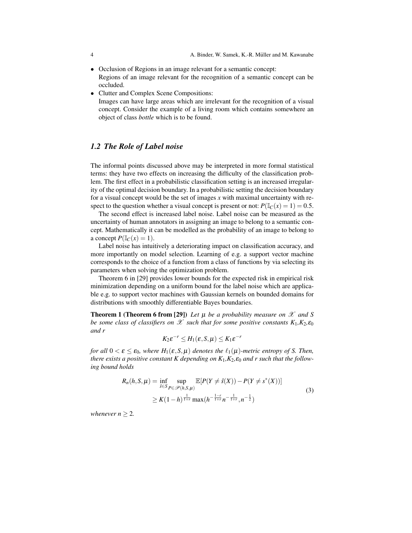- Occlusion of Regions in an image relevant for a semantic concept: Regions of an image relevant for the recognition of a semantic concept can be occluded.
- Clutter and Complex Scene Compositions:
	- Images can have large areas which are irrelevant for the recognition of a visual concept. Consider the example of a living room which contains somewhere an object of class *bottle* which is to be found.

# *1.2 The Role of Label noise*

The informal points discussed above may be interpreted in more formal statistical terms: they have two effects on increasing the difficulty of the classification problem. The first effect in a probabilistic classification setting is an increased irregularity of the optimal decision boundary. In a probabilistic setting the decision boundary for a visual concept would be the set of images *x* with maximal uncertainty with respect to the question whether a visual concept is present or not:  $P(\mathbb{I}_C(x) = 1) = 0.5$ .

The second effect is increased label noise. Label noise can be measured as the uncertainty of human annotators in assigning an image to belong to a semantic concept. Mathematically it can be modelled as the probability of an image to belong to a concept  $P(\mathbb{I}_C(x) = 1)$ .

Label noise has intuitively a deteriorating impact on classification accuracy, and more importantly on model selection. Learning of e.g. a support vector machine corresponds to the choice of a function from a class of functions by via selecting its parameters when solving the optimization problem.

Theorem 6 in [29] provides lower bounds for the expected risk in empirical risk minimization depending on a uniform bound for the label noise which are applicable e.g. to support vector machines with Gaussian kernels on bounded domains for distributions with smoothly differentiable Bayes boundaries.

**Theorem 1 (Theorem 6 from [29])** Let  $\mu$  be a probability measure on  $\mathcal X$  and S *be some class of classifiers on*  $\mathscr X$  *such that for some positive constants*  $K_1, K_2, \varepsilon_0$ *and r*

$$
K_2\varepsilon^{-r}\leq H_1(\varepsilon, S, \mu)\leq K_1\varepsilon^{-r}
$$

*for all*  $0 < \varepsilon \leq \varepsilon_0$ *, where*  $H_1(\varepsilon, S, \mu)$  *denotes the*  $\ell_1(\mu)$ *-metric entropy of S. Then, there exists a positive constant K depending on*  $K_1, K_2, \varepsilon_0$  *and r such that the following bound holds*

$$
R_n(h, S, \mu) = \inf_{\hat{s} \in S} \sup_{P \in \mathcal{P}(h, S, \mu)} \mathbb{E}[P(Y \neq \hat{s}(X)) - P(Y \neq s^*(X))]
$$
  
 
$$
\geq K(1-h)^{\frac{1}{1+r}} \max(h^{-\frac{1-r}{1+r}} n^{-\frac{1}{1+r}}, n^{-\frac{1}{2}})
$$
 (3)

*whenever*  $n > 2$ *.*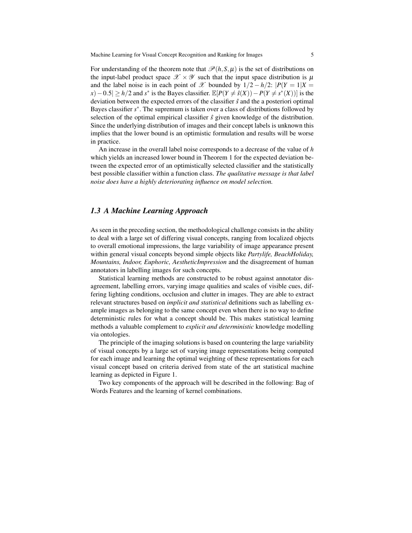For understanding of the theorem note that  $\mathcal{P}(h, S, \mu)$  is the set of distributions on the input-label product space  $\mathscr{X} \times \mathscr{Y}$  such that the input space distribution is  $\mu$ and the label noise is in each point of  $\mathscr X$  bounded by  $1/2 - h/2$ :  $|P(Y = 1|X =$ *x*)−0.5| ≥ *h*/2 and *s*<sup>\*</sup> is the Bayes classifier.  $\mathbb{E}[P(Y \neq \hat{s}(X)) - P(Y \neq s^*(X))]$  is the deviation between the expected errors of the classifier ˆ*s* and the a posteriori optimal Bayes classifier s<sup>\*</sup>. The supremum is taken over a class of distributions followed by selection of the optimal empirical classifier  $\hat{s}$  given knowledge of the distribution. Since the underlying distribution of images and their concept labels is unknown this implies that the lower bound is an optimistic formulation and results will be worse in practice.

An increase in the overall label noise corresponds to a decrease of the value of *h* which yields an increased lower bound in Theorem 1 for the expected deviation between the expected error of an optimistically selected classifier and the statistically best possible classifier within a function class. *The qualitative message is that label noise does have a highly deteriorating influence on model selection.*

# *1.3 A Machine Learning Approach*

As seen in the preceding section, the methodological challenge consists in the ability to deal with a large set of differing visual concepts, ranging from localized objects to overall emotional impressions, the large variability of image appearance present within general visual concepts beyond simple objects like *Partylife, BeachHoliday, Mountains, Indoor, Euphoric, AestheticImpression* and the disagreement of human annotators in labelling images for such concepts.

Statistical learning methods are constructed to be robust against annotator disagreement, labelling errors, varying image qualities and scales of visible cues, differing lighting conditions, occlusion and clutter in images. They are able to extract relevant structures based on *implicit and statistical* definitions such as labelling example images as belonging to the same concept even when there is no way to define deterministic rules for what a concept should be. This makes statistical learning methods a valuable complement to *explicit and deterministic* knowledge modelling via ontologies.

The principle of the imaging solutions is based on countering the large variability of visual concepts by a large set of varying image representations being computed for each image and learning the optimal weighting of these representations for each visual concept based on criteria derived from state of the art statistical machine learning as depicted in Figure 1.

Two key components of the approach will be described in the following: Bag of Words Features and the learning of kernel combinations.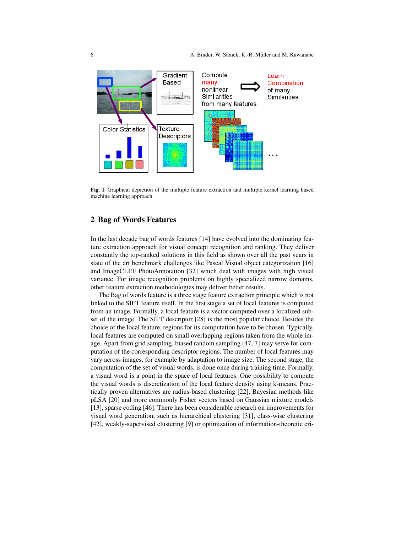

Fig. 1 Graphical depiction of the multiple feature extraction and multiple kernel learning based machine learning approach.

# 2 Bag of Words Features

In the last decade bag of words features [14] have evolved into the dominating feature extraction approach for visual concept recognition and ranking. They deliver constantly the top-ranked solutions in this field as shown over all the past years in state of the art benchmark challenges like Pascal Visual object categorization [16] and ImageCLEF PhotoAnnotation [32] which deal with images with high visual variance. For image recognition problems on highly specialized narrow domains, other feature extraction methodologies may deliver better results.

The Bag of words feature is a three stage feature extraction principle which is not linked to the SIFT feature itself. In the first stage a set of local features is computed from an image. Formally, a local feature is a vector computed over a localized subset of the image. The SIFT descriptor [28] is the most popular choice. Besides the choice of the local feature, regions for its computation have to be chosen. Typically, local features are computed on small overlapping regions taken from the whole image. Apart from grid sampling, biased random sampling [47, 7] may serve for computation of the corresponding descriptor regions. The number of local features may vary across images, for example by adaptation to image size. The second stage, the computation of the set of visual words, is done once during training time. Formally, a visual word is a point in the space of local features. One possibility to compute the visual words is discretization of the local feature density using k-means. Practically proven alternatives are radius-based clustering [22], Bayesian methods like pLSA [20] and more commonly Fisher vectors based on Gaussian mixture models [13], sparse coding [46]. There has been considerable research on improvements for visual word generation, such as hierarchical clustering [31], class-wise clustering [42], weakly-supervised clustering [9] or optimization of information-theoretic cri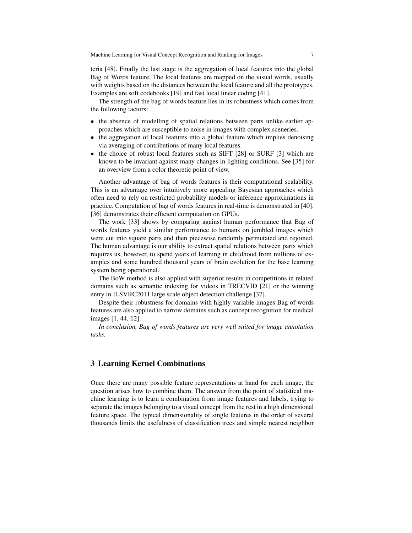teria [48]. Finally the last stage is the aggregation of local features into the global Bag of Words feature. The local features are mapped on the visual words, usually with weights based on the distances between the local feature and all the prototypes. Examples are soft codebooks [19] and fast local linear coding [41].

The strength of the bag of words feature lies in its robustness which comes from the following factors:

- the absence of modelling of spatial relations between parts unlike earlier approaches which are susceptible to noise in images with complex sceneries.
- the aggregation of local features into a global feature which implies denoising via averaging of contributions of many local features.
- the choice of robust local features such as SIFT [28] or SURF [3] which are known to be invariant against many changes in lighting conditions. See [35] for an overview from a color theoretic point of view.

Another advantage of bag of words features is their computational scalability. This is an advantage over intuitively more appealing Bayesian approaches which often need to rely on restricted probability models or inference approximations in practice. Computation of bag of words features in real-time is demonstrated in [40]. [36] demonstrates their efficient computation on GPUs.

The work [33] shows by comparing against human performance that Bag of words features yield a similar performance to humans on jumbled images which were cut into square parts and then piecewise randomly permutated and rejoined. The human advantage is our ability to extract spatial relations between parts which requires us, however, to spend years of learning in childhood from millions of examples and some hundred thousand years of brain evolution for the base learning system being operational.

The BoW method is also applied with superior results in competitions in related domains such as semantic indexing for videos in TRECVID [21] or the winning entry in ILSVRC2011 large scale object detection challenge [37].

Despite their robustness for domains with highly variable images Bag of words features are also applied to narrow domains such as concept recognition for medical images [1, 44, 12].

*In conclusion, Bag of words features are very well suited for image annotation tasks.*

#### 3 Learning Kernel Combinations

Once there are many possible feature representations at hand for each image, the question arises how to combine them. The answer from the point of statistical machine learning is to learn a combination from image features and labels, trying to separate the images belonging to a visual concept from the rest in a high dimensional feature space. The typical dimensionality of single features in the order of several thousands limits the usefulness of classification trees and simple nearest neighbor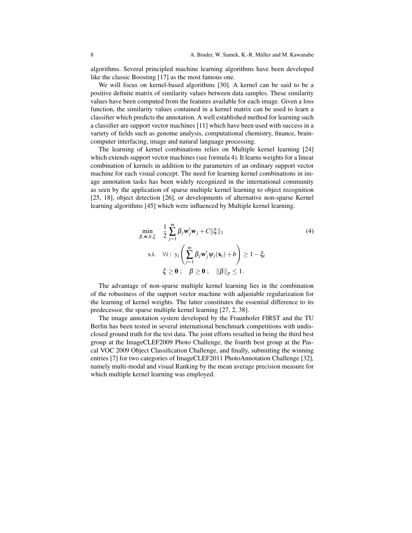algorithms. Several principled machine learning algorithms have been developed like the classic Boosting [17] as the most famous one.

We will focus on kernel-based algorithms [30]. A kernel can be said to be a positive definite matrix of similarity values between data samples. These similarity values have been computed from the features available for each image. Given a loss function, the similarity values contained in a kernel matrix can be used to learn a classifier which predicts the annotation. A well established method for learning such a classifier are support vector machines [11] which have been used with success in a variety of fields such as genome analysis, computational chemistry, finance, braincomputer interfacing, image and natural language processing.

The learning of kernel combinations relies on Multiple kernel learning [24] which extends support vector machines (see formula 4). It learns weights for a linear combination of kernels in addition to the parameters of an ordinary support vector machine for each visual concept. The need for learning kernel combinations in image annotation tasks has been widely recognized in the international community as seen by the application of sparse multiple kernel learning to object recognition [25, 18], object detection [26], or developments of alternative non-sparse Kernel learning algorithms [45] which were influenced by Multiple kernel learning.

$$
\min_{\beta, \mathbf{w}, b, \xi} \quad \frac{1}{2} \sum_{j=1}^{m} \beta_j \mathbf{w}'_j \mathbf{w}_j + C \|\xi\|_1
$$
\n
$$
\text{s.t.} \quad \forall i: \ y_i \left( \sum_{j=1}^{m} \beta_j \mathbf{w}'_j \psi_j(\mathbf{x}_i) + b \right) \ge 1 - \xi_i
$$
\n
$$
\xi \ge \mathbf{0}; \quad \beta \ge \mathbf{0}; \quad \|\beta\|_p \le 1.
$$
\n
$$
(4)
$$

The advantage of non-sparse multiple kernel learning lies in the combination of the robustness of the support vector machine with adjustable regularization for the learning of kernel weights. The latter constitutes the essential difference to its predecessor, the sparse multiple kernel learning [27, 2, 38].

The image annotation system developed by the Fraunhofer FIRST and the TU Berlin has been tested in several international benchmark competitions with undisclosed ground truth for the test data. The joint efforts resulted in being the third best group at the ImageCLEF2009 Photo Challenge, the fourth best group at the Pascal VOC 2009 Object Classification Challenge, and finally, submitting the winning entries [7] for two categories of ImageCLEF2011 PhotoAnnotation Challenge [32], namely multi-modal and visual Ranking by the mean average precision measure for which multiple kernel learning was employed.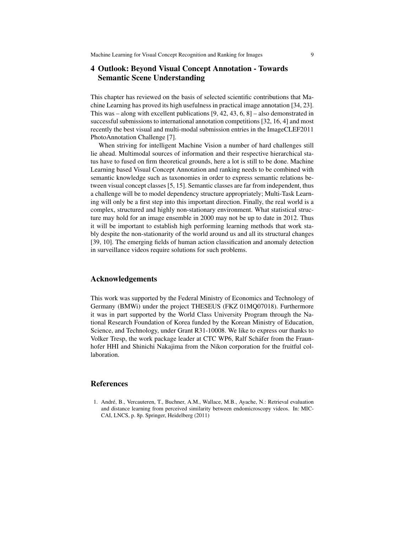# 4 Outlook: Beyond Visual Concept Annotation - Towards Semantic Scene Understanding

This chapter has reviewed on the basis of selected scientific contributions that Machine Learning has proved its high usefulness in practical image annotation [34, 23]. This was – along with excellent publications [9, 42, 43, 6, 8] – also demonstrated in successful submissions to international annotation competitions [32, 16, 4] and most recently the best visual and multi-modal submission entries in the ImageCLEF2011 PhotoAnnotation Challenge [7].

When striving for intelligent Machine Vision a number of hard challenges still lie ahead. Multimodal sources of information and their respective hierarchical status have to fused on firm theoretical grounds, here a lot is still to be done. Machine Learning based Visual Concept Annotation and ranking needs to be combined with semantic knowledge such as taxonomies in order to express semantic relations between visual concept classes [5, 15]. Semantic classes are far from independent, thus a challenge will be to model dependency structure appropriately; Multi-Task Learning will only be a first step into this important direction. Finally, the real world is a complex, structured and highly non-stationary environment. What statistical structure may hold for an image ensemble in 2000 may not be up to date in 2012. Thus it will be important to establish high performing learning methods that work stably despite the non-stationarity of the world around us and all its structural changes [39, 10]. The emerging fields of human action classification and anomaly detection in surveillance videos require solutions for such problems.

## Acknowledgements

This work was supported by the Federal Ministry of Economics and Technology of Germany (BMWi) under the project THESEUS (FKZ 01MQ07018). Furthermore it was in part supported by the World Class University Program through the National Research Foundation of Korea funded by the Korean Ministry of Education, Science, and Technology, under Grant R31-10008. We like to express our thanks to Volker Tresp, the work package leader at CTC WP6, Ralf Schäfer from the Fraunhofer HHI and Shinichi Nakajima from the Nikon corporation for the fruitful collaboration.

#### References

1. Andre, B., Vercauteren, T., Buchner, A.M., Wallace, M.B., Ayache, N.: Retrieval evaluation ´ and distance learning from perceived similarity between endomicroscopy videos. In: MIC-CAI, LNCS, p. 8p. Springer, Heidelberg (2011)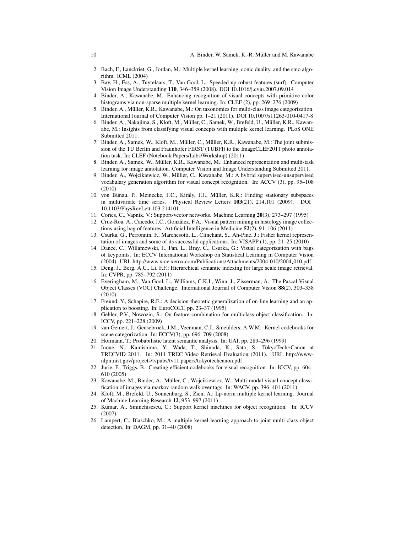- 2. Bach, F., Lanckriet, G., Jordan, M.: Multiple kernel learning, conic duality, and the smo algorithm. ICML (2004)
- 3. Bay, H., Ess, A., Tuytelaars, T., Van Gool, L.: Speeded-up robust features (surf). Computer Vision Image Understanding 110, 346–359 (2008). DOI 10.1016/j.cviu.2007.09.014
- 4. Binder, A., Kawanabe, M.: Enhancing recognition of visual concepts with primitive color histograms via non-sparse multiple kernel learning. In: CLEF (2), pp. 269–276 (2009)
- 5. Binder, A., Müller, K.R., Kawanabe, M.: On taxonomies for multi-class image categorization. International Journal of Computer Vision pp. 1–21 (2011). DOI 10.1007/s11263-010-0417-8
- 6. Binder, A., Nakajima, S., Kloft, M., Müller, C., Samek, W., Brefeld, U., Müller, K.R., Kawanabe, M.: Insights from classifying visual concepts with multiple kernel learning. PLoS ONE Submitted 2011.
- 7. Binder, A., Samek, W., Kloft, M., Müller, C., Müller, K.R., Kawanabe, M.: The joint submission of the TU Berlin and Fraunhofer FIRST (TUBFI) to the ImageCLEF2011 photo annotation task. In: CLEF (Notebook Papers/Labs/Workshop) (2011)
- 8. Binder, A., Samek, W., Müller, K.R., Kawanabe, M.: Enhanced representation and multi-task learning for image annotation. Computer Vision and Image Understanding Submitted 2011.
- 9. Binder, A., Wojcikiewicz, W., Müller, C., Kawanabe, M.: A hybrid supervised-unsupervised vocabulary generation algorithm for visual concept recognition. In: ACCV (3), pp. 95–108 (2010)
- 10. von Bünau, P., Meinecke, F.C., Király, F.J., Müller, K.R.: Finding stationary subspaces in multivariate time series. Physical Review Letters 103(21), 214,101 (2009). DOI 10.1103/PhysRevLett.103.214101
- 11. Cortes, C., Vapnik, V.: Support-vector networks. Machine Learning 20(3), 273–297 (1995)
- 12. Cruz-Roa, A., Caicedo, J.C., Gonzalez, F.A.: Visual pattern mining in histology image collec- ´ tions using bag of features. Artificial Intelligence in Medicine 52(2), 91–106 (2011)
- 13. Csurka, G., Perronnin, F., Marchesotti, L., Clinchant, S., Ah-Pine, J.: Fisher kernel representation of images and some of its successful applications. In: VISAPP (1), pp. 21–25 (2010)
- 14. Dance, C., Willamowski, J., Fan, L., Bray, C., Csurka, G.: Visual categorization with bags of keypoints. In: ECCV International Workshop on Statistical Learning in Computer Vision (2004). URL http://www.xrce.xerox.com/Publications/Attachments/2004-010/2004 010.pdf
- 15. Deng, J., Berg, A.C., Li, F.F.: Hierarchical semantic indexing for large scale image retrieval. In: CVPR, pp. 785–792 (2011)
- 16. Everingham, M., Van Gool, L., Williams, C.K.I., Winn, J., Zisserman, A.: The Pascal Visual Object Classes (VOC) Challenge. International Journal of Computer Vision 88(2), 303–338 (2010)
- 17. Freund, Y., Schapire, R.E.: A decision-theoretic generalization of on-line learning and an application to boosting. In: EuroCOLT, pp. 23–37 (1995)
- 18. Gehler, P.V., Nowozin, S.: On feature combination for multiclass object classification. In: ICCV, pp. 221–228 (2009)
- 19. van Gemert, J., Geusebroek, J.M., Veenman, C.J., Smeulders, A.W.M.: Kernel codebooks for scene categorization. In: ECCV(3), pp. 696–709 (2008)
- 20. Hofmann, T.: Probabilistic latent semantic analysis. In: UAI, pp. 289–296 (1999)
- 21. Inoue, N., Kamishima, Y., Wada, T., Shinoda, K., Sato, S.: TokyoTech+Canon at TRECVID 2011. In: 2011 TREC Video Retrieval Evaluation (2011). URL http://wwwnlpir.nist.gov/projects/tvpubs/tv11.papers/tokyotechcanon.pdf
- 22. Jurie, F., Triggs, B.: Creating efficient codebooks for visual recognition. In: ICCV, pp. 604– 610 (2005)
- 23. Kawanabe, M., Binder, A., Muller, C., Wojcikiewicz, W.: Multi-modal visual concept classi- ¨ fication of images via markov random walk over tags. In: WACV, pp. 396–401 (2011)
- 24. Kloft, M., Brefeld, U., Sonnenburg, S., Zien, A.: Lp-norm multiple kernel learning. Journal of Machine Learning Research 12, 953–997 (2011)
- 25. Kumar, A., Sminchisescu, C.: Support kernel machines for object recognition. In: ICCV (2007)
- 26. Lampert, C., Blaschko, M.: A multiple kernel learning approach to joint multi-class object detection. In: DAGM, pp. 31–40 (2008)